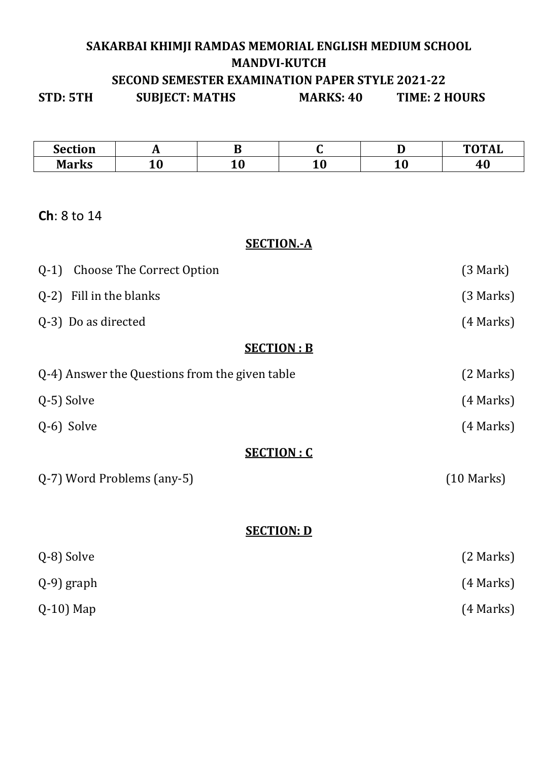# **SAKARBAI KHIMJI RAMDAS MEMORIAL ENGLISH MEDIUM SCHOOL MANDVI-KUTCH SECOND SEMESTER EXAMINATION PAPER STYLE 2021-22**

**STD: 5TH SUBJECT: MATHS MARKS: 40 TIME: 2 HOURS** 

| <b>Section</b> | . . |     |               |    | $m$ $o$ $m$ $a$ $r$<br>INLI |
|----------------|-----|-----|---------------|----|-----------------------------|
| Morlz          | ᆂᇦ  | - - | 1 v<br>$\sim$ | ᆂᇦ | 1 O                         |

## **Ch**: 8 to 14

### **SECTION.-A**

| <b>Choose The Correct Option</b><br>$Q-1$      | (3 Mark)        |
|------------------------------------------------|-----------------|
| Q-2) Fill in the blanks                        | (3 Marks)       |
| Q-3) Do as directed                            | $(4$ Marks)     |
| <b>SECTION: B</b>                              |                 |
| Q-4) Answer the Questions from the given table | (2 Marks)       |
| Q-5) Solve                                     | $(4$ Marks)     |
| Q-6) Solve                                     | (4 Marks)       |
| <b>SECTION: C</b>                              |                 |
| Q-7) Word Problems (any-5)                     | $(10$ Marks $)$ |
|                                                |                 |
| <b>SECTION: D</b>                              |                 |
| Q-8) Solve                                     | (2 Marks)       |
| $(Q-9)$ graph                                  | $(4$ Marks)     |
| $Q-10$ ) Map                                   | (4 Marks)       |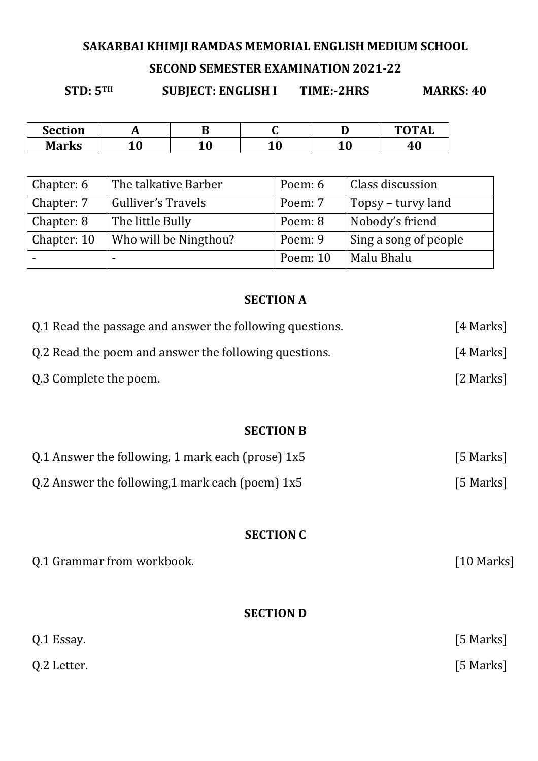## **SAKARBAI KHIMJI RAMDAS MEMORIAL ENGLISH MEDIUM SCHOOL**

## **SECOND SEMESTER EXAMINATION 2021-22**

**STD: 5TH SUBJECT: ENGLISH I TIME:-2HRS MARKS: 40** 

| <b>Section</b> |         |    |           | ≖              | <b>TOTAL</b> |
|----------------|---------|----|-----------|----------------|--------------|
| <b>Marks</b>   | ∩<br>ΨU | ᆂV | ח ו<br>ᆂV | $\Delta$<br>TÛ | 46           |

| Chapter: 6  | The talkative Barber  | Poem: 6  | Class discussion      |
|-------------|-----------------------|----------|-----------------------|
| Chapter: 7  | Gulliver's Travels    | Poem: 7  | Topsy – turvy land    |
| Chapter: 8  | The little Bully      | Poem: 8  | Nobody's friend       |
| Chapter: 10 | Who will be Ningthou? | Poem: 9  | Sing a song of people |
|             |                       | Poem: 10 | Malu Bhalu            |

## **SECTION A**

| Q.1 Read the passage and answer the following questions. | [4 Marks]    |  |
|----------------------------------------------------------|--------------|--|
| Q.2 Read the poem and answer the following questions.    | [4 Marks]    |  |
| Q.3 Complete the poem.                                   | [2 Marks]    |  |
|                                                          |              |  |
| <b>SECTION B</b>                                         |              |  |
| Q.1 Answer the following, 1 mark each (prose) $1x5$      | [5 Marks]    |  |
| Q.2 Answer the following, 1 mark each (poem) $1x5$       | [5 Marks]    |  |
|                                                          |              |  |
| <b>SECTION C</b>                                         |              |  |
| Q.1 Grammar from workbook.                               | $[10$ Marks] |  |
|                                                          |              |  |
| <b>SECTION D</b>                                         |              |  |
| Q.1 Essay.                                               | [5 Marks]    |  |
| Q.2 Letter.                                              | [5 Marks]    |  |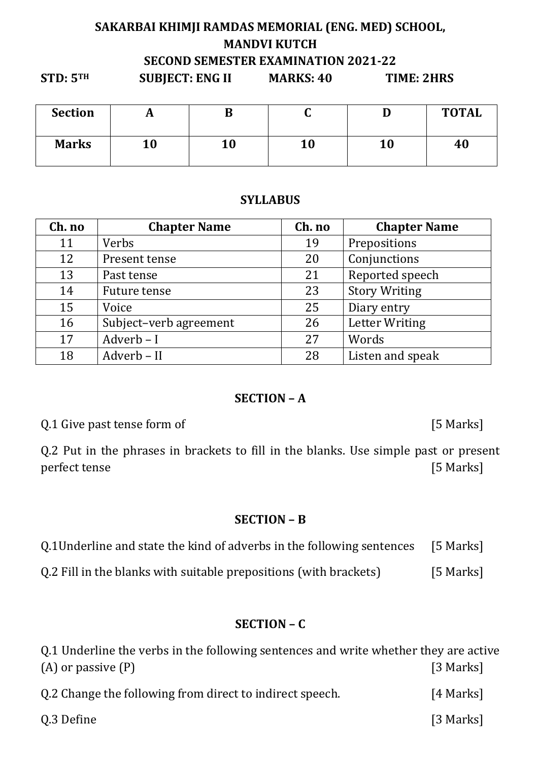## **SAKARBAI KHIMJI RAMDAS MEMORIAL (ENG. MED) SCHOOL, MANDVI KUTCH SECOND SEMESTER EXAMINATION 2021-22**

| STD: 5 <sup>TH</sup> | <b>SUBJECT: ENG II</b> | <b>MARKS: 40</b> | TIME: 2HRS |              |
|----------------------|------------------------|------------------|------------|--------------|
| <b>Section</b>       |                        |                  |            | <b>TOTAL</b> |
| <b>Marks</b>         | 10                     | 10               | 10         | 40           |

### **SYLLABUS**

| Ch. no | <b>Chapter Name</b>    | Ch. no | <b>Chapter Name</b>   |
|--------|------------------------|--------|-----------------------|
| 11     | Verbs                  | 19     | Prepositions          |
| 12     | Present tense          | 20     | Conjunctions          |
| 13     | Past tense             | 21     | Reported speech       |
| 14     | Future tense           | 23     | <b>Story Writing</b>  |
| 15     | Voice                  | 25     | Diary entry           |
| 16     | Subject-verb agreement | 26     | <b>Letter Writing</b> |
| 17     | Adverb-I               | 27     | Words                 |
| 18     | Adverb - II            | 28     | Listen and speak      |

#### **SECTION – A**

Q.1 Give past tense form of [5 Marks]

Q.2 Put in the phrases in brackets to fill in the blanks. Use simple past or present perfect tense [5 Marks]

#### **SECTION – B**

| Q.1Underline and state the kind of adverbs in the following sentences [5 Marks] |  |
|---------------------------------------------------------------------------------|--|
|---------------------------------------------------------------------------------|--|

Q.2 Fill in the blanks with suitable prepositions (with brackets) [5 Marks]

## **SECTION – C**

| 0.1 Underline the verbs in the following sentences and write whether they are active |           |
|--------------------------------------------------------------------------------------|-----------|
| $(A)$ or passive $(P)$                                                               | [3 Marks] |
| Q.2 Change the following from direct to indirect speech.                             | [4 Marks] |
| Q.3 Define                                                                           | [3 Marks] |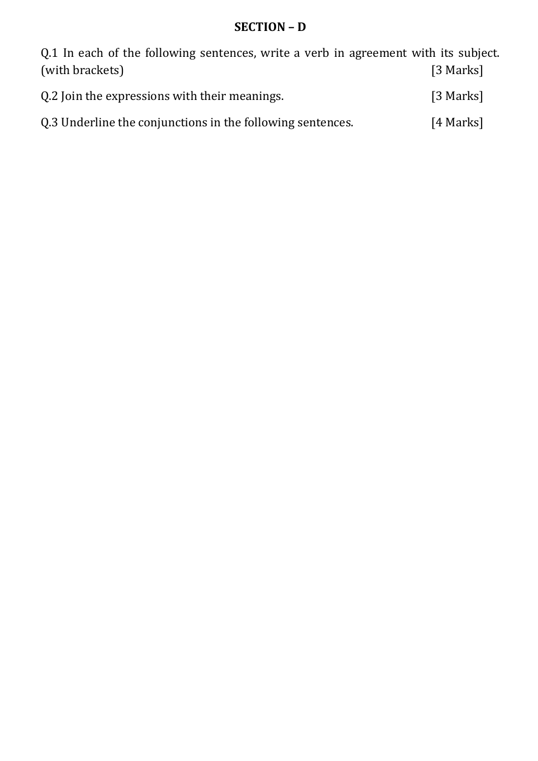# **SECTION – D**

Q.1 In each of the following sentences, write a verb in agreement with its subject. (with brackets) [3 Marks]

| Q.2 Join the expressions with their meanings. | [3 Marks] |
|-----------------------------------------------|-----------|
|                                               |           |

| Q.3 Underline the conjunctions in the following sentences. | [4 Marks] |
|------------------------------------------------------------|-----------|
|------------------------------------------------------------|-----------|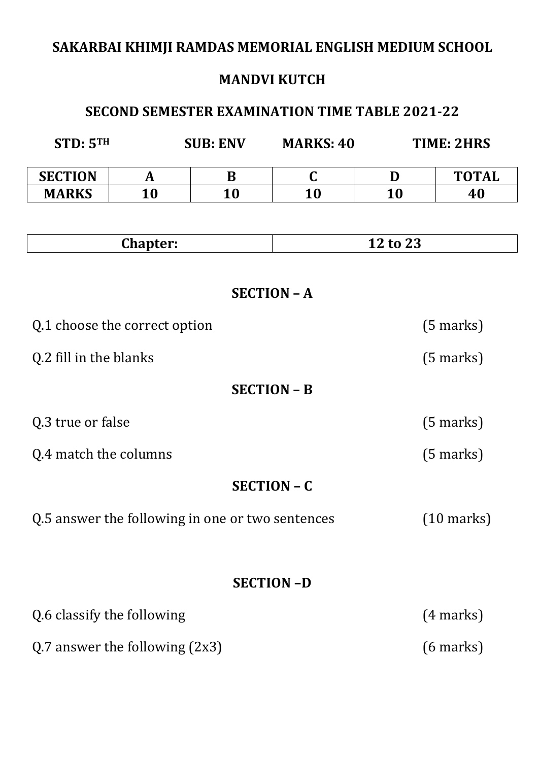# **SAKARBAI KHIMJI RAMDAS MEMORIAL ENGLISH MEDIUM SCHOOL**

# **MANDVI KUTCH**

# **SECOND SEMESTER EXAMINATION TIME TABLE 2021-22**

| STD: 5 <sup>TH</sup>             |                                                  | <b>SUB: ENV</b> | <b>MARKS: 40</b>   | <b>TIME: 2HRS</b> |                      |
|----------------------------------|--------------------------------------------------|-----------------|--------------------|-------------------|----------------------|
| <b>SECTION</b>                   | A                                                | B               | $\mathbf C$        | D                 | <b>TOTAL</b>         |
| <b>MARKS</b>                     | 10                                               | 10              | 10                 | 10                | 40                   |
|                                  |                                                  |                 |                    |                   |                      |
|                                  | <b>Chapter:</b>                                  |                 |                    | 12 to 23          |                      |
|                                  |                                                  |                 | <b>SECTION - A</b> |                   |                      |
|                                  | Q.1 choose the correct option                    |                 |                    |                   | $(5 \text{ marks})$  |
| Q.2 fill in the blanks           |                                                  |                 |                    |                   | $(5 \text{ marks})$  |
|                                  |                                                  |                 | <b>SECTION - B</b> |                   |                      |
| Q.3 true or false                |                                                  |                 |                    |                   | $(5 \text{ marks})$  |
| Q.4 match the columns            |                                                  |                 |                    |                   | $(5 \text{ marks})$  |
|                                  |                                                  |                 | <b>SECTION - C</b> |                   |                      |
|                                  | Q.5 answer the following in one or two sentences |                 |                    |                   | $(10 \text{ marks})$ |
|                                  |                                                  |                 | <b>SECTION-D</b>   |                   |                      |
| Q.6 classify the following       |                                                  |                 |                    |                   | $(4 \text{ marks})$  |
| Q.7 answer the following $(2x3)$ |                                                  |                 |                    |                   | $(6 \text{ marks})$  |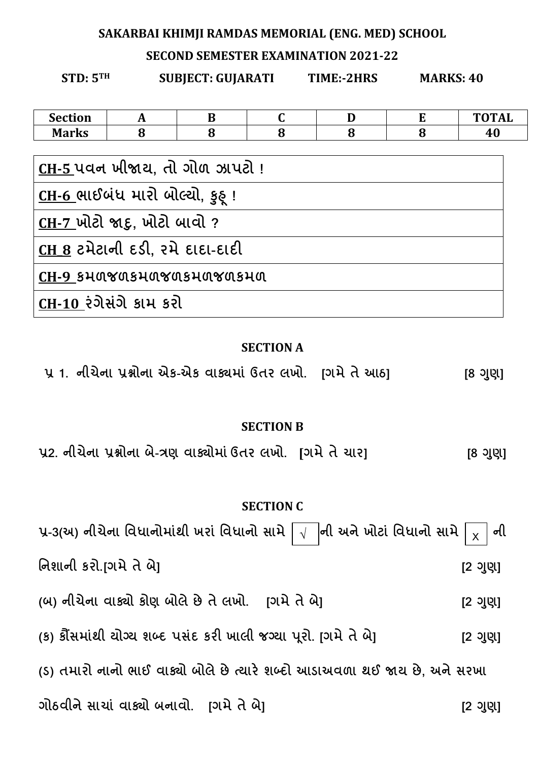#### SAKARBAI KHIMJI RAMDAS MEMORIAL (ENG. MED) SCHOOL

#### **SECOND SEMESTER EXAMINATION 2021-22**

**SUBJECT: GUIARATI** 

**STD: 5TH** 

TIME:-2HRS

**MARKS: 40** 

| <b>Section</b>                          | A | B |   | D | E | <b>TOTAL</b> |
|-----------------------------------------|---|---|---|---|---|--------------|
| <b>Marks</b>                            | 8 | 8 | 8 | 8 | 8 | 40           |
|                                         |   |   |   |   |   |              |
| <u>CH-5 પવન ખીજાય, ત</u> ો ગોળ ઝાપટો !  |   |   |   |   |   |              |
| <u>CH-6 </u> ભાઈબંધ મારો બોલ્યો, કુઠ્ ! |   |   |   |   |   |              |
| $CH-7$ ખોટો જાદુ, ખોટો બાવો ?           |   |   |   |   |   |              |
| $CH 8$ ટમેટાની દડી, રમે દાદા-દાદી       |   |   |   |   |   |              |
| CH-9 SHUYUSHUYUSHUYUSHU                 |   |   |   |   |   |              |
| CH-10 રંગેસંગે કામ કરી                  |   |   |   |   |   |              |
|                                         |   |   |   |   |   |              |

#### **SECTION A**

પ્ર 1. નીચેના પ્રશ્નોના એક-એક વાક્યમાં ઉતર લખો. [ગમે તે આઠ]  $[8 \t{3} \t{3}]$ 

#### **SECTION B**

૫2. નીચેના પ્રશ્નોના બે-ત્રણ વાક્યોમાં ઉતર લખો. [ગમે તે યાર]  $[8 \t{3} \t{3}]$ 

#### **SECTION C**

પ્ર-3(અ) નીચેના વિધાનોમાંથી ખરાં વિધાનો સામે  $\boxed{\sqrt{\ }}$ ની અને ખોટાં વિધાનો સામે ની  $\overline{\mathsf{x}}$ નિશાની કરો.[ગમે તે બે]  $[2 9]$ (બ) નીચેના વાક્યો કોણ બોલે છે તે લખો. [ગમે તે બે]  $[2 9]$ (ક) કોંસમાંથી ચોગ્ય શબ્દ પસંદ કરી ખાલી જગ્યા પૂરો. [ગમે તે બે]  $[2 \t{9} \t{9}]$ (S) તમારો નાનો ભાઈ વાક્યો બોલે છે ત્યારે શબ્દો આડાઅવળા થઈ જાય છે, અને સરખા ગોઠવીને સાચાં વાક્યો બનાવો. [ગમે તે બે]  $[2 9]$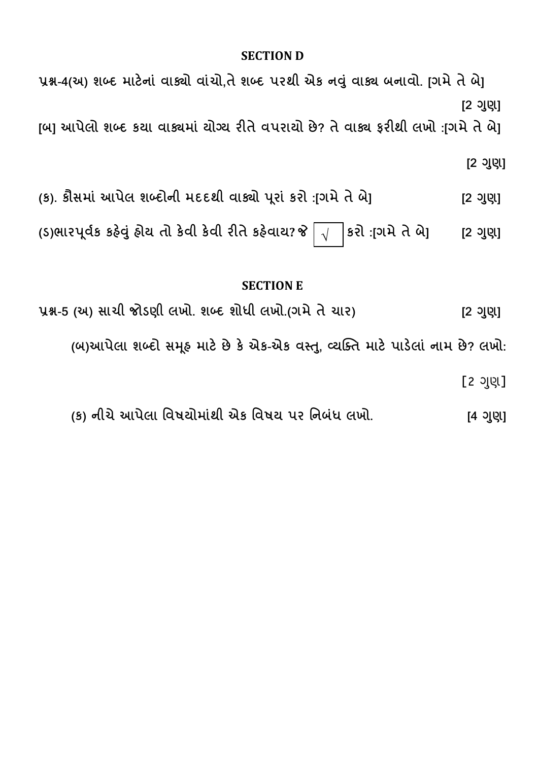#### **SECTION D**

પ્રશ્ન-4(અ) શબ્દ માટેનાં વાક્યો વાંચો,તે શબ્દ પરથી એક નવું વાક્ય બનાવો. [ગમે તે બે]  $[2$  ગુણા

[બ] આપેલો શબ્દ કયા વાક્યમાં યોગ્ય રીતે વપરાયો છે? તે વાક્ય ફરીથી લખો :[ગમે તે બે]

 $[2 3]$ ણ]

(ક). કૌસમાં આપેલ શબ્દોની મદદથી વાક્યો પૂરાં કરો :[ગમે તે બે]  $[2 3]$ ણ]

(ડ)ભારપૂર્વક કહેવું હોચ તો કેવી કેવી રીતે કહેવાય? જે |કરો :[ગમે તે બે]  $\sqrt{ }$  $[2 9]$ 

### **SECTION E**

પ્રશ્ન-5 (અ) સાચી જોડણી લખો. શબ્દ શોધી લખો.(ગમે તે ચાર)  $[2 9]$ (બ)આપેલા શબ્દો સમૂક માટે છે કે એક-એક વસ્તુ, વ્યક્તિ માટે પાડેલાં નામ છે? લખો: [2 ગુણ]

(ક) નીચે આપેલા વિષયોમાંથી એક વિષય પર નિબંધ લખો. [4 ગુણ]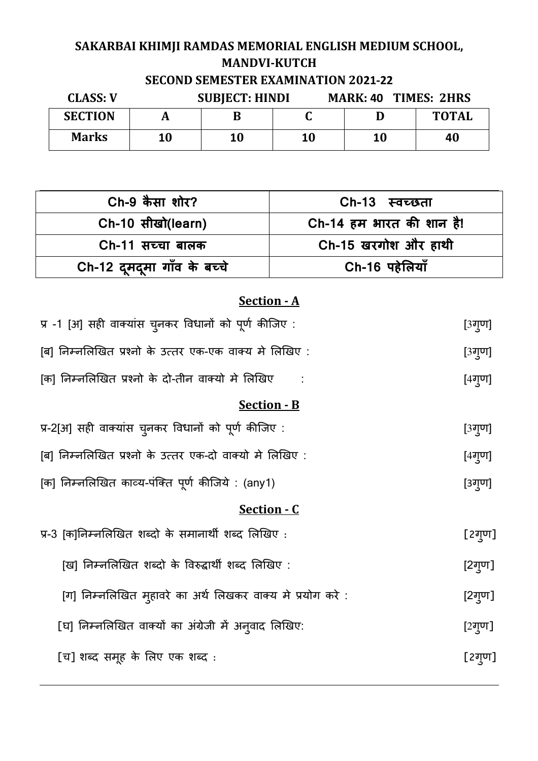# **SAKARBAI KHIMJI RAMDAS MEMORIAL ENGLISH MEDIUM SCHOOL, MANDVI-KUTCH SECOND SEMESTER EXAMINATION 2021-22**

| <b>CLASS: V</b> |    | <b>SUBJECT: HINDI</b> |    |    | <b>MARK: 40 TIMES: 2HRS</b> |  |  |
|-----------------|----|-----------------------|----|----|-----------------------------|--|--|
| <b>SECTION</b>  |    | В                     |    |    | <b>TOTAL</b>                |  |  |
| <b>Marks</b>    | 10 | 10                    | 10 | 10 | 40                          |  |  |

| Ch-9 कैसा शोर?              | Ch-13 स्वच्छता           |
|-----------------------------|--------------------------|
| Ch-10 सीखो(learn)           | Ch-14 हम भारत की शान है! |
| Ch-11 सच्चा बालक            | Ch-15 खरगोश और हाथी      |
| Ch-12 दूमदूमा गाँव के बच्चे | Ch-16 पहेलियाँ           |

## **Section - A**

| प्र -1 [अ] सही वाक्यांस चुनकर विधानों को पूर्ण कीजिए :     | [3गुण]              |
|------------------------------------------------------------|---------------------|
| [ब] निम्नलिखित प्रश्नो के उत्तर एक-एक वाक्य मे लिखिए :     | [3गुण]              |
| [क] निम्नलिखित प्रश्नो के दो-तीन वाक्यो मे लिखिए           | $[4$ ग्ण]           |
| <b>Section - B</b>                                         |                     |
| प्र-2[अ] सही वाक्यांस चुनकर विधानों को पूर्ण कीजिए :       | [3गुण]              |
| [ब] निम्नलिखित प्रश्नो के उत्तर एक-दो वाक्यो मे लिखिए :    | $[4\overline{q}$ ण] |
| [क] निम्नलिखित काव्य-पंक्ति पूर्ण कीजिये : (any1)          | [3गुण]              |
| <u>Section - C</u>                                         |                     |
| प्र-3 [क]निम्नलिखित शब्दो के समानार्थी शब्द लिखिए :        | [2ग्ण]              |
| [ख] निम्नलिखित शब्दो के विरुद्धार्थी शब्द लिखिए :          | [2ग्ण]              |
| [ग] निम्नलिखित मुहावरे का अर्थ लिखकर वाक्य मे प्रयोग करे : | [2गुण]              |
| [घ] निम्नलिखित वाक्यों का अंग्रेजी में अनुवाद लिखिए:       | [2गुण]              |
| [च] शब्द समूह के लिए एक शब्द :                             | [2ग्ण]              |